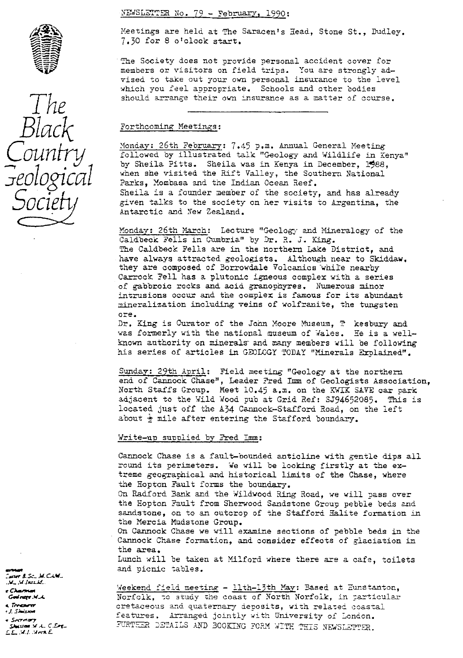

*S* .  $\frac{5}{4}$ 

NEWSLETTER No. 79 - February, 1990:

Meetings are held at The Saracen's Head, Stone St., Dudley. 7.30 for 8 o'clock start.

The Society does not provide <sup>p</sup> ersonal accident cover for members or visitors on field trips. You are strongly advised to take out your own personal insurance to the level which you feel a<sup>p</sup> propriate. Schools and other bodies should arrange their own insurance as a matter of course.

Black Forthcoming Meetings:<br>Monday: 26th February: 7.45 p.m. Annual General Meeting *Qlinity* (1,4) p.m. Annual General Meeting<br>*Qlinity* Followed by illustrated talk "Geology and Wildlife in Kenya"<br>by Sheila Pitts. Sheila was in Kenya in December. 1988. by Sheila Pitts. Sheila was in Kenya in December, 1988. when she visited the Rift Valley, the Southern National Parks, Mombasa and the Indian Ocean Reef. Sheila is a founder member of the society, and has already given talks to the society on her visits to Argentina, the Antarctic and New Zealand.

> Monday : 26th March: Lecture "Geology and Mineralogy of the Caldbeck Fells in Cumbria" by Dr. R. J. King. The Caldbeck Fells are in the northern Lake District, and have always attracted geologists. Although near to Skiddaw, they are composed of Borrowdale Volcanics while nearby Carrock <sup>y</sup> ell has a plutonic igneous complex with a series of gabbroic racks and acid granophyres. Numerous minor intrusions occur and the complex is famous for its abundant mineralization including veins of wolfranite, the tungsten ore.

Dr. King is Curator of the John Moore Museum, 7 kesbury and was formerly with the national museum of Wales. He is a wellknown authority on minerals and many members will be following his series of articles in GEOLOGY TODAY "Minerals Erolained".

Sunday: 29th April: Field meeting "Geology at the northern end of Cannock Chase", Leader Fred Imm of Geologists Association, North Staffs Group. Meet 10.45 a.m. on the XWIK SAVE car park adjacent to the Wild Wood pub at Grid Ref: SJ94652085. This is located just off the 134 Cannock-Stafford Road, on the left about  $\frac{1}{2}$  mile after entering the Stafford boundary.

### Write-up supplied by Fred Imm:

Cannock Chase is a fault-bounded anticline with gentle dips all round its perimeters. We will be looking firstly at the extreme geographical and historical limits of the Chase, where the Hopton Fault forms the boundary. On Radford Bank and the Wildwood Ring Road, we will pass over the Hopton Fault from Sherwood Sandstone Group pebble beds and sandstone, on to an outcrop of the Stafford Halite formation in the Mercia Mudstone Group. On Cannock Chase we will examine sections of **pebble** beds in the Cannock Chase formation, and consider effects of glaciation in the area. Lunch will be taken at Milford where there are a cafe, toilets and picnic tables.

Weekend field meeting - llth-13th May: Based at Eunstanton, .^+^. Norfolk, o study the coast of North Norfolk, in ;articular cretaceous and quaternary deposits, with related coastal features. Arranged jointly with Gniversity of London. FURTHER DETAILS AND BOOKING FORM WITH THIS NEWSLETTER.

:air 3 S....Lf Gcrl\_

rana magaritan<br>Terrasanaran<br>Ari Shahaman

e Secretary<br>Shistan M.A., C.Erg.,<br>E.E., M.I., Meck.E.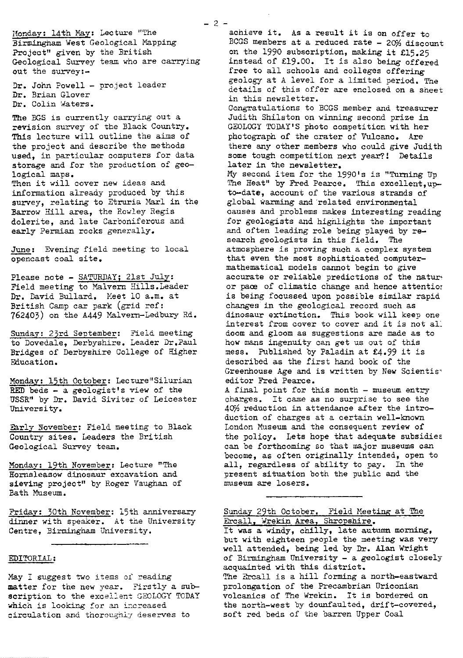Monday: 14th May: Lecture "The Birmingham West Geological Mapping Project" given by the British Geological Survey team who are carrying out the survey:-

Dr. John Powell - project leader Dr. Brian Glover Dr. Colin Waters.

The BGS is currently carrying out a revision survey of the Black Country. This lecture will outline the aims of the project and describe the methods used, in particular computers for data storage and for the production of geological maps.

Then it will cover new ideas and information already produced by this survey, relating to Etruria Marl in the Barrow Hill area, the Rowley Regis dolerite, and late Carboniferous and early Permian rocks generally.

June: Evening field meeting to local opencast coal site.

Please note - SATURDAY; 21st July: Field meeting to Malvern Hills.Leader Dr. David Bullard. Meet 10 a.m. at British Camp car park (grid ref: 762403) on the A449 Malvern-Ledbury Rd.

Sunday: 23rd September: Field meeting to Dovedale, Derbyshire. Leader Dr.Paul Bridges of Derbyshire College of Higher Education.

Monday: 15th October: Lecture"Silurian RED beds  $-$  a geologist's view of the USSR" by Dr. David Siviter of Leicester University.

Early November: Field meeting to Black Country sites. Leaders the British Geological Survey team.

Monday: 19th November: Lecture "The Hornsleasow dinosaur excavation and sieving project" *by Roger Vaughan of* Bath Museum.

Friday: 30th November: 15th anniversary dinner with speaker. At the University Centre, Birmingham University.

#### EDITORIAL:

Nay I suggest two items of reading matter for the new year. Firstly a subscription to the excellent GEOLOGY TODAY which is looking for an increased circulation and thoroughly deserves to

achieve it. As a result it **is on** offer to BCGS members at a reduced rate - 20% discount on the 1990 subscription, making it €15.25 instead of £19.00. It is also being offered free to all schools and colleges offering geology at A level for a limited period. The details of *this* offer are enclosed on a sheet in this newsletter. Congratulations to BCGS member and treasurer Judith Shilston on winning second prize in GEOLOGY TODAY'S photo competition with her *photograph* of the crater of Vulcano. Are there any other members who could give Judith some tough competition next year?! Details later in the newsletter. My second item for the 1990's is "Turning Up The Heat" by Fred Pearce. This excellent, upto-date, account of the various strands of global warming and related environmental causes and <sup>p</sup> roblems makes interesting reading for geologists and highlights the important and often leading role being played by research geologists in this field. The atmosphere is proving such a complex system that even the most sophisticated computermathematical models cannot begin to give accurate or reliable predictions of the nature or pace of climatic change and hence attentio: is being focussed upon possible similar rapid changes in the geological record such as dinosaur extinction. This book will keep one interest from cover to cover and it is not all doom and gloom as suggestions are made as to how mans ingenuity can get us out of this mess. Published by Paladin at £4.99 it is described as the first hand book of the Greenhouse Age and is written by New Scientiseditor Fred Pearce.

A final point *for this month -* museum entry charges. It *came* as no surprise to see- the 40% reduction in attendance after the introduction of charges at a certain well-known London Museum and the consequent review of the policy. Lets *hope* that adequate subsidies can be forthcomin g so that major museums can become, as often originally intended, open to all, regardless of ability to pay. In the present situation both the public and the museum are losers.

Sunday 29th October. Field Meeting at The Ercall, Wrekin Area, Shropshire. It was a windy, chilly, late autumn morning, *but with* eighteen people the meeting was very well attended, being led by Dr. Alan Wright of Birmingham University - a geologist closely acquainted with *this* district. The Ercall is a hill forming a north-eastward prolongation of the Precambrian Uriconian volcanics of The Wrekin. It is bordered an the north-west by dounfaulted, drift-covered, soft *red* beds of the barren Upper Coal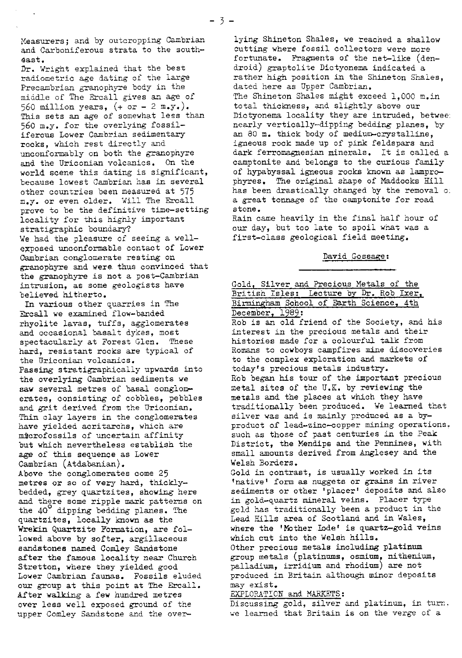and Carboniferous strata to the south-

Dr. Wright explained that the best radiometric age dating of the large Precambrian granophyre body in the middle of The Ercall gives an age of 560 million years,  $(+ \text{ or } -2 \text{ m.y.})$ . total thickness, and slightly above our This sets an age of somewhat less than Dictyonema locality they are intruded, other countries been measured at 575<br>m.y. or even older. Will The Ercall prove to be the definitive time-setting<br>locality for this highly important We had the pleasure of seeing a wellexposed unconformable contact of Lower Cambrian conglomerate resting on David Gossage: gxanophyre and *were. thus* convinced that the granophyre is not a post-Cambrian intrusion, as some geologists have Gold, Silver and Precious Metals of the

Ercall we examined flow-banded<br>
rhyolite lavas, *tuffs, agglomerates* hard, resistant rocks are typical of the Uriconian volcanics. Passing stratigraphically upwards into Thin clay layers in the conglomerates have yielded acritarchs, which are Cambrian (Atdabanian). bedded, grey quartzites, showing here lowed above by softer, argillaceous<br>sandstones named Comley Sandstone after the famous locality near Church<br>Stretton, where they yielded good our group at this point at The Ercall. may exist.<br>After walking a few hundred metres EXPLORATION and MARKETS: After walking a few hundred metres

Measurers; and by outcropping Cambrian lying Shineton Shales, we reached a shallow<br>and Carboniferous strata to the south- cutting where fossil collectors were more dast.<br> **Outurate.** Fragments of the net-like (den-<br>  $\eta$ . Wright explained that the best droid) graptolite Dictyonema indicated a rather high position in the Shineton Shales, dated here as Upper Cambrian. middle of The Ercall gives an age of The Shineton Shales might exceed 1,000 m.in<br>560 million years,  $($ + or - 2 m.y.). total thickness, and slightly above our This sets an age of somewhat less than Dictyonema locality they are intruded, betwee:<br>560 m.y. for the overlying fossil- hearly vertically-dipping bedding planes. by 560 m.y. for the overlying fossil-<br>iferous Lower Cambrian sedimentary an 80 m. thick body of medium-crystalline, iferous Lower Cambrian sedimentary an 80 m. thick body of medium-crystalline,<br>rocks, which rest directly and igneous rock made up of pink feldspars and rocks, which rest directly and igneous rock made up of pink feldspars and unconformably on both the granophyre dark ferromagnesian minerals. It is called unconformably on both the granophyre dark ferromagnesian minerals. It is called a<br>and the Uriconian volcanics. On the camptonite and belongs to the curious family and the Uriconian volcanics. On the camptonite and belongs to the curious family<br>world scene this dating is significant, of hypabyssal igneous rocks known as lamproworld scene this dating is significant, of hypabyssal igneous rocks known as lampro-<br>because lowest Cambrian has in several phyres. The original shape of Maddocks Hill phyres. The original shape of Maddocks Hill<br>has been drastically changed by the removal of a great tonnage of the camptonite for road stone.

locality for this highly important Rain came heavily in the final half hour of stratigraphic boundary? our day, but too late to spoil what was a our day, but too late to spoil what was a first-class geological field meeting.

believed hitherto.  $British Isles: Lecture by Dr. Rob Izer,$ In various other quarries in The Birmingham School of Earth Science, 4th call we examined flow-banded December, 1989: rhyolite lavas, tuffs, *agg*lomerates and is an old friend of the Society, and his<br>and occasional basalt dykes, most interest in the precious metals and their interest in the precious metals and their<br>histories made for a colourful talk from spectacularly at Forest Glen. These histories made for a colourful talk from<br>hard, resistant rocks are typical of homans to cowboys campfires mine discoveries to the complex exploration and markets of today's precious metals industry. the overlying Cambrian sediments we Rob began his tour of the important precious<br>saw several metres of basal conglom- metal sites of the U.K. by reviewing the metal sites of the U.K. by reviewing the metals and the places at which they have erates, consisting of cobbles, pebbles and the places at which they have erated that<br>and grit derived from the Uriconian. The traditionally been produced. We learned that and grit derived from the Uriconian. traditionally been produced. We learned that<br>Thin clay lavers in the conglomerates silver was and is mainly produced as a byhave yielded acritarchs, which are product of lead-zinc-copper mining operations.<br>microfossils of uncertain affinity such as those of past centuries in the Peak such as those of past centuries in the Peak but which nevertheless establish the District, the Mendips and the Pennines, with age of this sequence as Lower small amounts derived from Anglesey and the small amounts derived from Anglesey and the Welsh Borders. Above the conglomerates come 25 Gold in contrast, is usually worked in its metres or so of very hard, thickly- 'native' form as nuggets *or grains in river* and there some ripple mark patterns on *in gold-quartz* mineral veins. Placer type the 40<sup>°</sup> dipping bedding planes. The *gold* has traditionally been a product in the gold has traditionally been a product in the quartzites, locally known as the Lead Hills area of Scotland and in Wales,<br>Wrekin Quartzite Formation, are fol- Where the 'Mother Lode' is quartz-gold ve where the 'Mother Lode' is quartz-gold veins which cut into the Welsh hills. Other precious metals including platinum<br>group metals (platinums, osmium, nithenium, Stretton, where they yielded good palladium, irridium and rhodium) are not<br>Lower Cambrian faunas. Fossils eluded produced in Britain although minor depos: produced in Britain although minor deposits may exist.

over less well exposed ground of the Discussing gold, silver and platinum, in turn. upper Comley Sandstone and the over- we learned that Britain is on the verge of a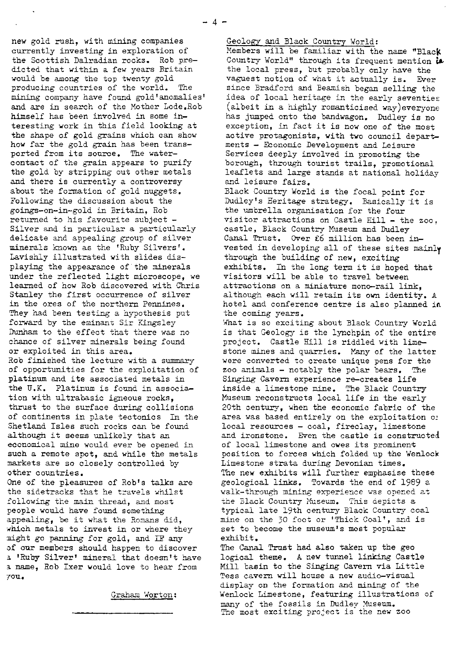new gold rush, with mining companies currently investing in exploration of the Scottish Dalradian rocks. Rob predicted that within a few years Britain would be among the top twenty gold producing countries of the world. The mining company have found gold'anomalies' and are in search of the Mother Lode.Rob himself has been involved in some interesting work in this field looking at the shape of gold grains which can show how far the gold grain has been transported from its source. The watercontact of the grain appears to purify the gold by stripping out other metals and there is currently a controversy about the formation of gold nuggets. Following the discussion about the goings-on-in-gold in Britain, Rob returned to his favourite subject - Silver and in particular a particularly delicate and appealing group of silver minerals known as the 'Ruby Silvers'. Lavishly illustrated with slides displaying the appearance of the minerals under the reflected light microscope, we learned of how Rob discovered with Chris Stanley the first occurrence of silver in the ores of the northern Pennines. They had been testing a hypothesis put forward by the eminant Sir Kingsley Dunham to the effect that there was no chance of silver minerals being found or exploited in this area. *Rob* finished the lecture with a summary

of opportunities for the exploitation of platinum and its associated *metals in* the U.K. Platinum is found in association with ultrabasic igneous rocks, thrust to the surface during collisions of continents in plate tectonics In the Shetland Isles such rocks can be found although it seems unlikely that an economical mine would ever be opened in such a remote spot, and while the metals markets are so closely controlled by *other countries.*

One of the pleasures of Rob's talks are the sidetracks that he travels whilst following the main thread, and most people would have found something appealing, be it what the Romans did, which metals to invest in or where they sight go panning for gold, and IF any of our members should happen to discover a 'Ruby Silver' mineral that doesn't have a name, Bob Ixer would love to hear from 7ou.

Graham Worton

## Geology and Black Country World:

Members will be familiar with the name "Black Country World" through its frequent mention **iL** the local press, but probably only have the vaguest notion of what it actually is. Ever since Bradford and Beamish began selling the idea of local heritage in the early seventies (albeit in a highly romanticised way)everyone has jumped onto the bandwagon. Dudley is no exception, in fact it is now one of the most active protagonists, with two council departments - Economic Development and Leisure Services deeply involved in promoting the borough, through tourist trails, promotional leaflets and large stands at national holiday and leisure fairs, Black Country World is the focal point for Dudley's Heritage strategy. Basically it is the umbrella organisation for the four visitor attractions on Castle Fill - the zoo. castle, Black Country Museum and Dudley Canal Trust. Over £6 million has been invested in developing all of these sites mainly through the building of new, exciting

exhibits. In the long term it is hoped that visitors will be able to travel between attractions on a miniature mono-rail link, although each will retain its own identity. A hotel and conference centre is also planned in the coming years.

What is so exciting about Black Country World is that Geology is the lynchpin of the entire project. Castle Hill is riddled with limestone mines and quarries. Many of the latter were converted to create unique pens for the zoo animals - notably the polar bears. The Singing Cavern experience re-creates life inside a limestone mine. The Black Country Museum reconstructs local life in the early 20th century, when *the economic fabric of* the area was based entirely on the exploitation o; *local resources - coal,* fireclay, limestone and ironstone. Even the castle is constructed of local limestone and owes its prominent position to forces which folded up the Wenlock Limestone strata during Devonian times. The new exhibits will further *emphasise these* geological links. Towards the end of 1989 a walk-through mining experience was opened at the Black Country Museum. This depicts a typical late 19th century Black Country coal mine on the 30 foot or 'Thick Coal', and is set to become the museum's most popular exhibit.

The Canal Trust had also taken up the geo logical theme. A new tunnel linking Castle Mill basin to the Singing Cavern via Little Tess cavern will house a new audio-visual display on the formation and mining of the Wenlock Limestone, featuring illustrations of many of the fossils in Dudley Museum. The most exciting project is the new zoo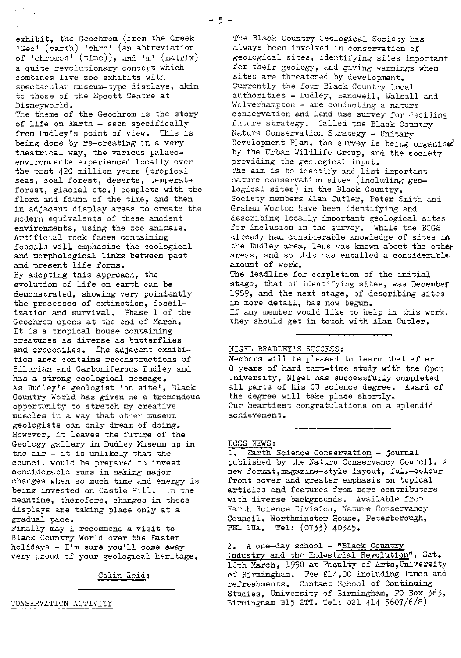exhibit, the Geochrom (from the Greek Geo' (earth) 'chro' (an abbreviation of 'chromos' (time)), and 'm' (matrix) a quite revolutionary concept which combines live zoo exhibits with spectacular museum-type displays, akin to those of the Epcott Centre at Disneyworld.

The theme of the Geochrom is the story of life on Earth - seen specifically from Dudley's point of view. This is being done by re-creating in a very theatrical way, the various palaeoenvironments experienced locally over the past 420 million years (tropical seas, coal forest, deserts, temperate forest, glacial etc.) complete with the flora and fauna of the time, and then in adjacent display areas to create the modern equivalents of these ancient environments, using the zoo animals. Artificial rock faces containing fossils will emphasise the ecological and morphological links between past and present life forms. By adopting this approach, the evolution of life on earth can be demonstrated, showing very poiniently the processes of extinction, fossilization and survival. Phase 1 of the Geochrom opens at the end of March. It is a tropical house containing creatures as diverse as butterflies and crocodiles. The adjacent exhibi--tion area contains reconstructions of Silurian and Carboniferous Dudley and has a strong ecological message. As Dudley's geologist 'on site', Black Country World *has given me* a tremendous opportunity to stretch my creative muscles in a way that other museum geologists can only dream of doing. However, it leaves the future of the Geology gallery in Dudley Museum up in the  $air - it$  is unlikely that the council would be prepared to invest considerable sums in making major changes when so much time and energy is being invested on Castle Hill. In the meantime, therefore, changes in these displays are taking place only at a gradual Dace.

Finally may I recommend a visit to Black Country World over the Easter holidays - I'm sure you'll come away very proud of your geological heritage.

Colin Reid:

CONSEERVATION ACTIVITY

The Black Country Geological Society has always been involved in conservation of geological sites, identifying sites important for their geology, and giving warnings when sites are threatened by development. Currently the four Black Country local authorities - Dudley, Sandwell, Walsall and Wolverhampton - are conducting a nature conservation and land use surrey for deciding future strategy. Called the Black Country Nature Conservation Strategy - Unitary Development Plan, the survey is being organised by the Urban Wildlife Group, and the society providing the geological input. The aim is to identify and list important nature conservation sites (including geological sites) in the Black Country. Society members Alan Cutler, Peter Smith and Graham Worton have been identifying and describing locally imortant geological sites for inclusion in the survey. 'Wile the BOGS already had considerable knowledge of sites in the Dudley area, less was known about the other areas, and so this has entailed a considerable. amount of work. The deadline for completion of the initial

stage, that of identifying sites, was December 1989, and the next stage, of describing sites in more detail, has now begun. If any member would like to help in this work. they should get in touch with Alan Cutler.

#### NIGEL BRADLEY'S SUCCESS :

Members will be pleased to learn that after 8 years of hard part-time study with the Open University, Nigel has successfully completed all parts of his OU science degree. Award of the degree will take place shortly. Our heartiest congratulations on a splendid achievement,

# BCGS NEWS:

1. Earth Science Conservation - journal published by the Nature Conservancy Council. A new format,magazine-style layout, full-colour front cover and greater emphasis on topical articles and features from more contributors with diverse backgrounds. Available from Earth Science Division, Nature Conservancy Council, Northminster House, Peterborough, PE1 IUA. Tel: (0733) 40345.

2. A one-day school - "Black Country Industry and the Industrial Revolution", Sat. 10th March, 1990 at Faculty of Arts, University of Birmingham. Fee €14.00 including lunch and refreshments. Contact School of Continuing Studies, University of Birmingham, PO Box 363, Birmingham B15 2"T. Tel: 021 414 5607/6/8)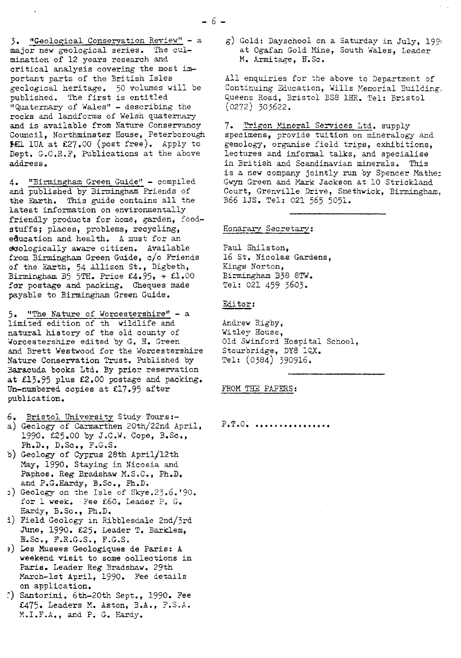-6-

<sup>3</sup> "Geological Conservation Review" - a major new geological series. The culmination of 12 years research and critical analysis covering the most important parts of the British Isles geological heritage. 50 volumes will be published. The first is entitled "Quaternary of Wales" - describing the rocks and landforms of Welsh quaternary and is available from Nature Conservancy Council, Northminster Rouse, Peterborough **FEL 1UA at £27.00 (post free).** Apply to Dept. G.C.R.F, Publications at the above address.

4. "Birmingham Green Guide" - compiled and published by Birmingham Friends of the Earth. This guide contains all the latest information on environmentally friendly products for home, garden, foodstuffs; places, problems, recycling, education and health. A must for an ecologically aware citizen. Available from Birmingham Green Guide, c/o Friends of the Earth, 54 Allison St., Digbeth, Birmingham 35 5TH. Price €4.95, + E1.00 for postage and packing. Cheques made payable to Birmingham Green Guide.

5. "The Nature of Worcestershire" - a limited edition of th wildlife and natural history of the old county of Worcestershire edited by G. H. Green and Brett Westwood for the Worcestershire Nature Conservation Trust. Published by 3aracuda books Ltd. By prior reservation at  $£13.95$  plus  $£2.00$  postage and packing. Un-numbered copies at 217.95 after publication.

- 6. Bristol University Study Tours:-
- a) Geology of Carmarthen 20th/22nd April, 1990. £25.00 by J.C.W. Cope, B.Sc., Ph.D., D.Sc., F.G.S.
- b) Geology of Cyprus 28th April/12th May, 1990. Staying in Nicosia and Paphos. Reg *Bradshaw M.S.C.,* Ph.D. and P.G.Hardy, B.Sc., Ph.D.
- } Geology on the Isle of Skye.25.6.'90. for 1 week. Fee €60. Leader P. G. Hardy, B.Sc., Ph.D.
- i) Field Geology in Ribblesdale 2nd/3rd June, 1990. £25. Leader T. Barklem, B=.Sc., F.R.G.S., F.G.S.
- ?) Les Musees Geologiques de Paris: A weekend visit to some collections in Paris. Leader Reg Bradshaw. 29th March-lst April, 1990. Fee details on application.
- ') Santorini. 6th-20th Sept., 1990. Fee £475. Leaders M. Aston, B.A., F.S.A. M.I.F.A., and P. G. Hardy.

g) Gold: Dayschool on a Saturday in July, 199 at Ogafan Gold Mine, South *Wales, Leader* M. Armitage, B.Sc.

All enquiries for the above to Department of Continuing Education, Wills Memorial Building. Queens Road, Bristol BS8 1HR. Tel: Bristol (0272) 303622.

7. Trigon Mineral Services Ltd. supply specimens, provide tuition on mineralogy and gemology, organise field trips, exhibitions. lectures and informal talks, and specialise in British and Scandinavian minerals. This is a new company jointly run by Spencer Mathe: Gwyn Green and Mark Jackson at 10 Strickland Court, Grenville Drive, Smethwick, Birmingham. B66 1JS. Tel: 021 565 5051.

Honarary Secretary:

Paul Shiiston, 16 St. Nicolas Gardens, Kings Norton, Birmingham B38 STW. Tel: 021 459 3603.

## Editor:

Andrew Rigby, Witley House, Old Swinford Hospital School, Stourbridge, DY8 1QX. Tel: (0384) 390916.

FROM THE PAPERS:

 $P_{\bullet}T_{\bullet}O_{\bullet}$  .........